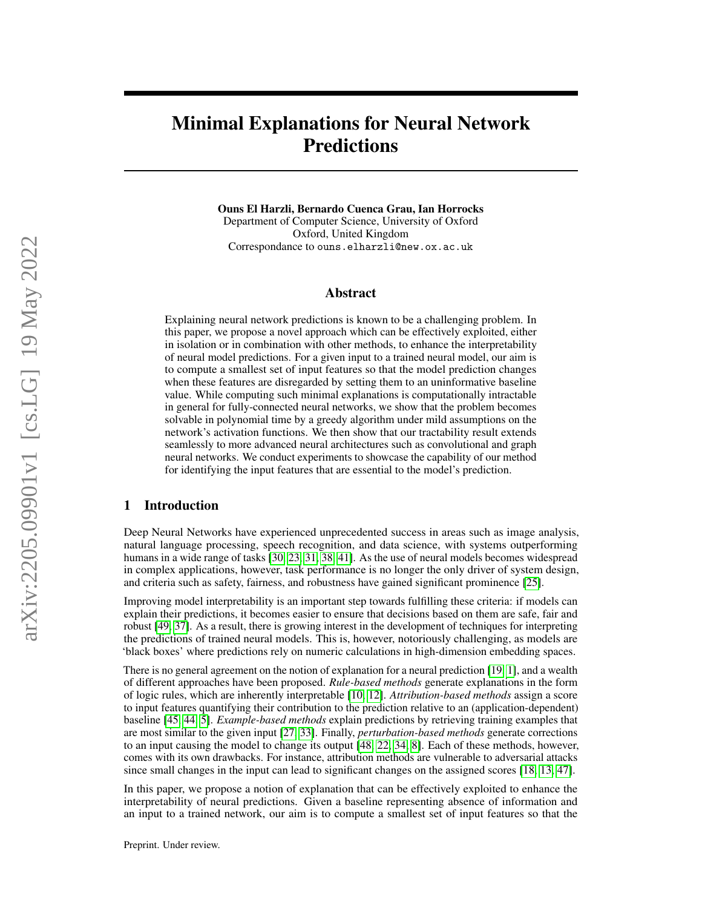# Minimal Explanations for Neural Network Predictions

Ouns El Harzli, Bernardo Cuenca Grau, Ian Horrocks Department of Computer Science, University of Oxford

Oxford, United Kingdom Correspondance to ouns.elharzli@new.ox.ac.uk

#### Abstract

Explaining neural network predictions is known to be a challenging problem. In this paper, we propose a novel approach which can be effectively exploited, either in isolation or in combination with other methods, to enhance the interpretability of neural model predictions. For a given input to a trained neural model, our aim is to compute a smallest set of input features so that the model prediction changes when these features are disregarded by setting them to an uninformative baseline value. While computing such minimal explanations is computationally intractable in general for fully-connected neural networks, we show that the problem becomes solvable in polynomial time by a greedy algorithm under mild assumptions on the network's activation functions. We then show that our tractability result extends seamlessly to more advanced neural architectures such as convolutional and graph neural networks. We conduct experiments to showcase the capability of our method for identifying the input features that are essential to the model's prediction.

## 1 Introduction

Deep Neural Networks have experienced unprecedented success in areas such as image analysis, natural language processing, speech recognition, and data science, with systems outperforming humans in a wide range of tasks [\[30,](#page-10-0) [23,](#page-10-1) [31,](#page-10-2) [38,](#page-10-3) [41\]](#page-10-4). As the use of neural models becomes widespread in complex applications, however, task performance is no longer the only driver of system design, and criteria such as safety, fairness, and robustness have gained significant prominence [\[25\]](#page-10-5).

Improving model interpretability is an important step towards fulfilling these criteria: if models can explain their predictions, it becomes easier to ensure that decisions based on them are safe, fair and robust [\[49,](#page-11-0) [37\]](#page-10-6). As a result, there is growing interest in the development of techniques for interpreting the predictions of trained neural models. This is, however, notoriously challenging, as models are 'black boxes' where predictions rely on numeric calculations in high-dimension embedding spaces.

There is no general agreement on the notion of explanation for a neural prediction [\[19,](#page-9-0) [1\]](#page-9-1), and a wealth of different approaches have been proposed. *Rule-based methods* generate explanations in the form of logic rules, which are inherently interpretable [\[10,](#page-9-2) [12\]](#page-9-3). *Attribution-based methods* assign a score to input features quantifying their contribution to the prediction relative to an (application-dependent) baseline [\[45,](#page-11-1) [44,](#page-11-2) [5\]](#page-9-4). *Example-based methods* explain predictions by retrieving training examples that are most similar to the given input [\[27,](#page-10-7) [33\]](#page-10-8). Finally, *perturbation-based methods* generate corrections to an input causing the model to change its output [\[48,](#page-11-3) [22,](#page-10-9) [34,](#page-10-10) [8\]](#page-9-5). Each of these methods, however, comes with its own drawbacks. For instance, attribution methods are vulnerable to adversarial attacks since small changes in the input can lead to significant changes on the assigned scores [\[18,](#page-9-6) [13,](#page-9-7) [47\]](#page-11-4).

In this paper, we propose a notion of explanation that can be effectively exploited to enhance the interpretability of neural predictions. Given a baseline representing absence of information and an input to a trained network, our aim is to compute a smallest set of input features so that the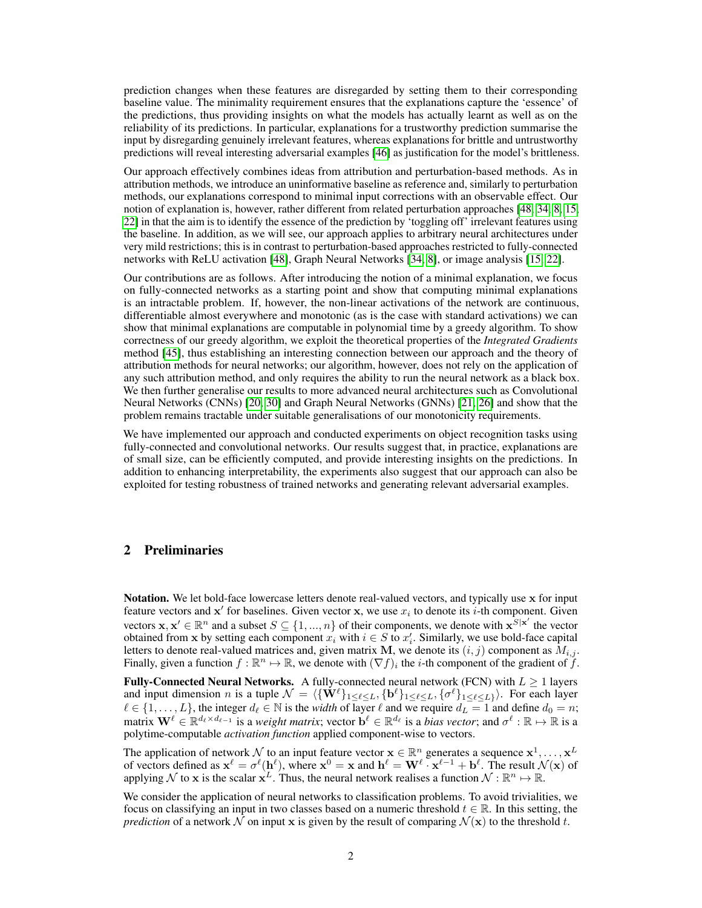prediction changes when these features are disregarded by setting them to their corresponding baseline value. The minimality requirement ensures that the explanations capture the 'essence' of the predictions, thus providing insights on what the models has actually learnt as well as on the reliability of its predictions. In particular, explanations for a trustworthy prediction summarise the input by disregarding genuinely irrelevant features, whereas explanations for brittle and untrustworthy predictions will reveal interesting adversarial examples [\[46\]](#page-11-5) as justification for the model's brittleness.

Our approach effectively combines ideas from attribution and perturbation-based methods. As in attribution methods, we introduce an uninformative baseline as reference and, similarly to perturbation methods, our explanations correspond to minimal input corrections with an observable effect. Our notion of explanation is, however, rather different from related perturbation approaches [\[48,](#page-11-3) [34,](#page-10-10) [8,](#page-9-5) [15,](#page-9-8) [22\]](#page-10-9) in that the aim is to identify the essence of the prediction by 'toggling off' irrelevant features using the baseline. In addition, as we will see, our approach applies to arbitrary neural architectures under very mild restrictions; this is in contrast to perturbation-based approaches restricted to fully-connected networks with ReLU activation [\[48\]](#page-11-3), Graph Neural Networks [\[34,](#page-10-10) [8\]](#page-9-5), or image analysis [\[15,](#page-9-8) [22\]](#page-10-9).

Our contributions are as follows. After introducing the notion of a minimal explanation, we focus on fully-connected networks as a starting point and show that computing minimal explanations is an intractable problem. If, however, the non-linear activations of the network are continuous, differentiable almost everywhere and monotonic (as is the case with standard activations) we can show that minimal explanations are computable in polynomial time by a greedy algorithm. To show correctness of our greedy algorithm, we exploit the theoretical properties of the *Integrated Gradients* method [\[45\]](#page-11-1), thus establishing an interesting connection between our approach and the theory of attribution methods for neural networks; our algorithm, however, does not rely on the application of any such attribution method, and only requires the ability to run the neural network as a black box. We then further generalise our results to more advanced neural architectures such as Convolutional Neural Networks (CNNs) [\[20,](#page-10-11) [30\]](#page-10-0) and Graph Neural Networks (GNNs) [\[21,](#page-10-12) [26\]](#page-10-13) and show that the problem remains tractable under suitable generalisations of our monotonicity requirements.

We have implemented our approach and conducted experiments on object recognition tasks using fully-connected and convolutional networks. Our results suggest that, in practice, explanations are of small size, can be efficiently computed, and provide interesting insights on the predictions. In addition to enhancing interpretability, the experiments also suggest that our approach can also be exploited for testing robustness of trained networks and generating relevant adversarial examples.

# 2 Preliminaries

Notation. We let bold-face lowercase letters denote real-valued vectors, and typically use x for input feature vectors and  $x'$  for baselines. Given vector x, we use  $x_i$  to denote its *i*-th component. Given vectors  $\mathbf{x}, \mathbf{x}' \in \mathbb{R}^n$  and a subset  $S \subseteq \{1, ..., n\}$  of their components, we denote with  $\mathbf{x}^{S|\mathbf{x}'}$  the vector obtained from x by setting each component  $x_i$  with  $i \in S$  to  $x'_i$ . Similarly, we use bold-face capital letters to denote real-valued matrices and, given matrix M, we denote its  $(i, j)$  component as  $M_{i,j}$ . Finally, given a function  $f : \mathbb{R}^n \to \mathbb{R}$ , we denote with  $(\nabla f)_i$  the *i*-th component of the gradient of  $f$ .

Fully-Connected Neural Networks. A fully-connected neural network (FCN) with  $L \geq 1$  layers and input dimension *n* is a tuple  $\mathcal{N} = \langle {\{\mathbf{W}^\ell\}}_{1 \leq \ell \leq L}, {\{\mathbf{b}^\ell\}}_{1 \leq \ell \leq L}, {\{\sigma^\ell\}}_{1 \leq \ell \leq L} \rangle$ . For each layer  $\ell \in \{1, \ldots, L\}$ , the integer  $d_\ell \in \mathbb{N}$  is the *width* of layer  $\ell$  and we require  $d_L = 1$  and define  $d_0 = n$ ; matrix  $\mathbf{W}^{\ell} \in \mathbb{R}^{d_{\ell} \times d_{\ell-1}}$  is a *weight matrix*; vector  $\mathbf{b}^{\ell} \in \mathbb{R}^{d_{\ell}}$  is a *bias vector*; and  $\sigma^{\ell} : \mathbb{R} \mapsto \mathbb{R}$  is a polytime-computable *activation function* applied component-wise to vectors.

The application of network  $\mathcal N$  to an input feature vector  $\mathbf x \in \mathbb R^n$  generates a sequence  $\mathbf x^1, \dots, \mathbf x^L$ of vectors defined as  $x^{\ell} = \sigma^{\ell}(h^{\ell})$ , where  $x^0 = x$  and  $h^{\ell} = W^{\ell} \cdot x^{\ell-1} + b^{\ell}$ . The result  $\mathcal{N}(x)$  of applying N to x is the scalar  $x^L$ . Thus, the neural network realises a function  $\mathcal{N}: \mathbb{R}^n \mapsto \mathbb{R}$ .

We consider the application of neural networks to classification problems. To avoid trivialities, we focus on classifying an input in two classes based on a numeric threshold  $t \in \mathbb{R}$ . In this setting, the *prediction* of a network N on input x is given by the result of comparing  $\mathcal{N}(x)$  to the threshold t.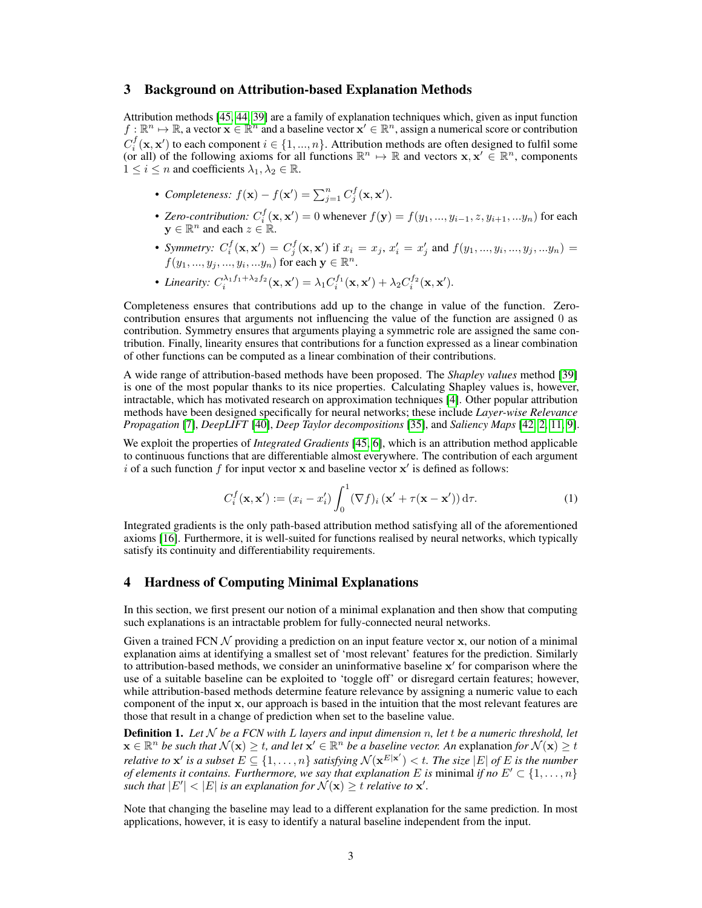#### 3 Background on Attribution-based Explanation Methods

Attribution methods [\[45,](#page-11-1) [44,](#page-11-2) [39\]](#page-10-14) are a family of explanation techniques which, given as input function  $f : \mathbb{R}^n \to \mathbb{R}$ , a vector  $\mathbf{x} \in \mathbb{R}^n$  and a baseline vector  $\mathbf{x}' \in \mathbb{R}^n$ , assign a numerical score or contribution  $C_i^f(\mathbf{x}, \mathbf{x}')$  to each component  $i \in \{1, ..., n\}$ . Attribution methods are often designed to fulfil some (or all) of the following axioms for all functions  $\mathbb{R}^n \mapsto \mathbb{R}$  and vectors  $x, x' \in \mathbb{R}^n$ , components  $1 \leq i \leq n$  and coefficients  $\lambda_1, \lambda_2 \in \mathbb{R}$ .

- *Completeness:*  $f(\mathbf{x}) f(\mathbf{x}') = \sum_{j=1}^{n} C_j^f(\mathbf{x}, \mathbf{x}')$ .
- Zero-contribution:  $C_i^f(\mathbf{x}, \mathbf{x}') = 0$  whenever  $f(\mathbf{y}) = f(y_1, ..., y_{i-1}, z, y_{i+1}, ..., y_n)$  for each  $y \in \mathbb{R}^n$  and each  $z \in \mathbb{R}$ .
- *Symmetry:*  $C_i^f(\mathbf{x}, \mathbf{x}') = C_j^f(\mathbf{x}, \mathbf{x}')$  if  $x_i = x_j$ ,  $x'_i = x'_j$  and  $f(y_1, ..., y_i, ..., y_j, ... y_n) =$  $f(y_1, ..., y_j, ..., y_i, ... y_n)$  for each  $\mathbf{y} \in \mathbb{R}^n$ .
- Linearity:  $C_i^{\lambda_1 f_1 + \lambda_2 f_2}(\mathbf{x}, \mathbf{x}') = \lambda_1 C_i^{f_1}(\mathbf{x}, \mathbf{x}') + \lambda_2 C_i^{f_2}(\mathbf{x}, \mathbf{x}').$

Completeness ensures that contributions add up to the change in value of the function. Zerocontribution ensures that arguments not influencing the value of the function are assigned 0 as contribution. Symmetry ensures that arguments playing a symmetric role are assigned the same contribution. Finally, linearity ensures that contributions for a function expressed as a linear combination of other functions can be computed as a linear combination of their contributions.

A wide range of attribution-based methods have been proposed. The *Shapley values* method [\[39\]](#page-10-14) is one of the most popular thanks to its nice properties. Calculating Shapley values is, however, intractable, which has motivated research on approximation techniques [\[4\]](#page-9-9). Other popular attribution methods have been designed specifically for neural networks; these include *Layer-wise Relevance Propagation* [\[7\]](#page-9-10), *DeepLIFT* [\[40\]](#page-10-15), *Deep Taylor decompositions* [\[35\]](#page-10-16), and *Saliency Maps* [\[42,](#page-10-17) [2,](#page-9-11) [11,](#page-9-12) [9\]](#page-9-13).

We exploit the properties of *Integrated Gradients* [\[45,](#page-11-1) [6\]](#page-9-14), which is an attribution method applicable to continuous functions that are differentiable almost everywhere. The contribution of each argument i of a such function  $f$  for input vector  $x$  and baseline vector  $x'$  is defined as follows:

<span id="page-2-0"></span>
$$
C_i^f(\mathbf{x}, \mathbf{x}') := (x_i - x_i') \int_0^1 (\nabla f)_i (\mathbf{x}' + \tau(\mathbf{x} - \mathbf{x}')) d\tau.
$$
 (1)

Integrated gradients is the only path-based attribution method satisfying all of the aforementioned axioms [\[16\]](#page-9-15). Furthermore, it is well-suited for functions realised by neural networks, which typically satisfy its continuity and differentiability requirements.

## 4 Hardness of Computing Minimal Explanations

In this section, we first present our notion of a minimal explanation and then show that computing such explanations is an intractable problem for fully-connected neural networks.

Given a trained FCN  $\mathcal N$  providing a prediction on an input feature vector x, our notion of a minimal explanation aims at identifying a smallest set of 'most relevant' features for the prediction. Similarly to attribution-based methods, we consider an uninformative baseline  $x'$  for comparison where the use of a suitable baseline can be exploited to 'toggle off' or disregard certain features; however, while attribution-based methods determine feature relevance by assigning a numeric value to each component of the input x, our approach is based in the intuition that the most relevant features are those that result in a change of prediction when set to the baseline value.

Definition 1. *Let* N *be a FCN with* L *layers and input dimension* n*, let* t *be a numeric threshold, let*  $\mathbf{x} \in \mathbb{R}^n$  *be such that*  $\mathcal{N}(\mathbf{x}) \ge t$ , and let  $\mathbf{x}' \in \mathbb{R}^n$  *be a baseline vector. An* explanation for  $\mathcal{N}(\mathbf{x}) \ge t$ *relative to*  $x'$  *is a subset*  $E \subseteq \{1, \ldots, n\}$  *satisfying*  $\mathcal{N}(x^{E|x'}) < t$ . The size  $|E|$  *of*  $E$  *is the number of elements it contains. Furthermore, we say that explanation* E *is* minimal *if no*  $E' \subset \{1, \ldots, n\}$ such that  $|E'| < |E|$  is an explanation for  $\mathcal{N}(\mathbf{x}) \geq t$  *relative to*  $\mathbf{x}'$ .

Note that changing the baseline may lead to a different explanation for the same prediction. In most applications, however, it is easy to identify a natural baseline independent from the input.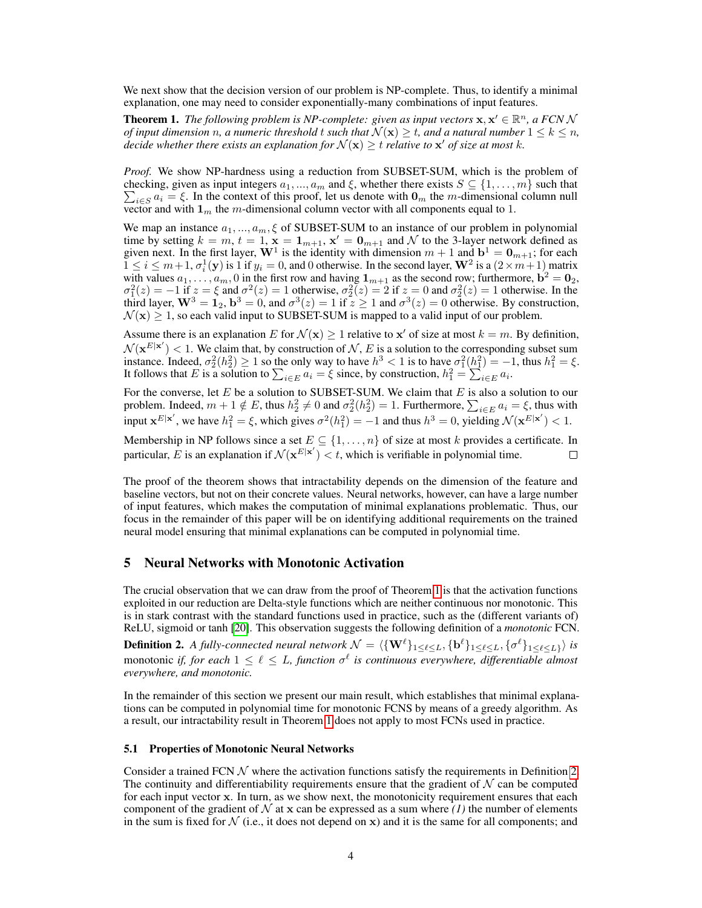We next show that the decision version of our problem is NP-complete. Thus, to identify a minimal explanation, one may need to consider exponentially-many combinations of input features.

<span id="page-3-0"></span>**Theorem 1.** The following problem is NP-complete: given as input vectors  $\mathbf{x}, \mathbf{x}' \in \mathbb{R}^n$ , a FCN N *of input dimension* n, a numeric threshold t such that  $\mathcal{N}(\mathbf{x}) \geq t$ , and a natural number  $1 \leq k \leq n$ , decide whether there exists an explanation for  $\mathcal{N}(\mathbf{x}) \geq t$  relative to  $\mathbf{x}'$  of size at most  $k$ .

*Proof.* We show NP-hardness using a reduction from SUBSET-SUM, which is the problem of checking, given as input integers  $a_1, ..., a_m$  and  $\xi$ , whether there exists  $S \subseteq \{1, ..., m\}$  such that  $\sum_{i \in S} a_i = \xi$ . In the context of this proof, let us denote with  $\mathbf{0}_m$  the m-dimensional column null vector and with  $1<sub>m</sub>$  the m-dimensional column vector with all components equal to 1.

We map an instance  $a_1, ..., a_m, \xi$  of SUBSET-SUM to an instance of our problem in polynomial time by setting  $k = m$ ,  $t = 1$ ,  $\mathbf{x} = \mathbf{1}_{m+1}$ ,  $\mathbf{x}' = \mathbf{0}_{m+1}$  and  $\mathcal{N}$  to the 3-layer network defined as given next. In the first layer,  $W^1$  is the identity with dimension  $m + 1$  and  $b^1 = 0_{m+1}$ ; for each  $1 \le i \le m+1$ ,  $\sigma_i^1(y)$  is 1 if  $y_i = 0$ , and 0 otherwise. In the second layer,  $W^2$  is a  $(2 \times m+1)$  matrix with values  $a_1, \ldots, a_m, 0$  in the first row and having  $\mathbf{1}_{m+1}$  as the second row; furthermore,  $\mathbf{b}^2 = \mathbf{0}_2$ ,  $\sigma_1^2(z) = -1$  if  $z = \xi$  and  $\sigma^2(z) = 1$  otherwise,  $\sigma_2^2(z) = 2$  if  $z = 0$  and  $\sigma_2^2(z) = 1$  otherwise. In the third layer,  $\mathbf{W}^3 = \mathbf{1}_2$ ,  $\mathbf{b}^3 = 0$ , and  $\sigma^3(z) = 1$  if  $z \ge 1$  and  $\sigma^3(z) = 0$  otherwise. By construction,  $\mathcal{N}(\mathbf{x}) \geq 1$ , so each valid input to SUBSET-SUM is mapped to a valid input of our problem.

Assume there is an explanation E for  $\mathcal{N}(x) \geq 1$  relative to  $x'$  of size at most  $k = m$ . By definition,  $\mathcal{N}(\mathbf{x}^{E|\mathbf{x}'})$  < 1. We claim that, by construction of  $\mathcal{N}, E$  is a solution to the corresponding subset sum instance. Indeed,  $\sigma_2^2(h_2^2) \ge 1$  so the only way to have  $h^3 < 1$  is to have  $\sigma_1^2(h_1^2) = -1$ , thus  $h_1^2 = \xi$ . It follows that E is a solution to  $\sum_{i \in E} a_i = \xi$  since, by construction,  $h_1^2 = \sum_{i \in E} a_i$ .

For the converse, let E be a solution to SUBSET-SUM. We claim that E is also a solution to our problem. Indeed,  $m+1 \notin E$ , thus  $h_2^2 \neq 0$  and  $\sigma_2^2(h_2^2) = 1$ . Furthermore,  $\sum_{i \in E} a_i = \xi$ , thus with input  $\mathbf{x}^{E|\mathbf{x}'}$ , we have  $h_1^2 = \xi$ , which gives  $\sigma^2(h_1^2) = -1$  and thus  $h^3 = 0$ , yielding  $\mathcal{N}(\mathbf{x}^{E|\mathbf{x}'}) < 1$ .

Membership in NP follows since a set  $E \subseteq \{1, \ldots, n\}$  of size at most k provides a certificate. In particular, E is an explanation if  $\mathcal{N}(\mathbf{x}^{E|\mathbf{x}'})< t$ , which is verifiable in polynomial time.  $\Box$ 

The proof of the theorem shows that intractability depends on the dimension of the feature and baseline vectors, but not on their concrete values. Neural networks, however, can have a large number of input features, which makes the computation of minimal explanations problematic. Thus, our focus in the remainder of this paper will be on identifying additional requirements on the trained neural model ensuring that minimal explanations can be computed in polynomial time.

## 5 Neural Networks with Monotonic Activation

The crucial observation that we can draw from the proof of Theorem [1](#page-3-0) is that the activation functions exploited in our reduction are Delta-style functions which are neither continuous nor monotonic. This is in stark contrast with the standard functions used in practice, such as the (different variants of) ReLU, sigmoid or tanh [\[20\]](#page-10-11). This observation suggests the following definition of a *monotonic* FCN.

<span id="page-3-1"></span>**Definition 2.** A fully-connected neural network  $\mathcal{N} = \langle \{ \mathbf{W}^{\ell} \}_{1 \leq \ell \leq L}, \{ \mathbf{b}^{\ell} \}_{1 \leq \ell \leq L}, \{ \sigma^{\ell} \}_{1 \leq \ell \leq L \}} \rangle$  is monotonic *if, for each*  $1 \leq \ell \leq L$ , function  $\sigma^{\ell}$  is continuous everywhere, differentiable almost *everywhere, and monotonic.*

In the remainder of this section we present our main result, which establishes that minimal explanations can be computed in polynomial time for monotonic FCNS by means of a greedy algorithm. As a result, our intractability result in Theorem [1](#page-3-0) does not apply to most FCNs used in practice.

#### 5.1 Properties of Monotonic Neural Networks

Consider a trained FCN  $\mathcal N$  where the activation functions satisfy the requirements in Definition [2.](#page-3-1) The continuity and differentiability requirements ensure that the gradient of  $N$  can be computed for each input vector x. In turn, as we show next, the monotonicity requirement ensures that each component of the gradient of  $N$  at x can be expressed as a sum where  $(I)$  the number of elements in the sum is fixed for  $N$  (i.e., it does not depend on  $x$ ) and it is the same for all components; and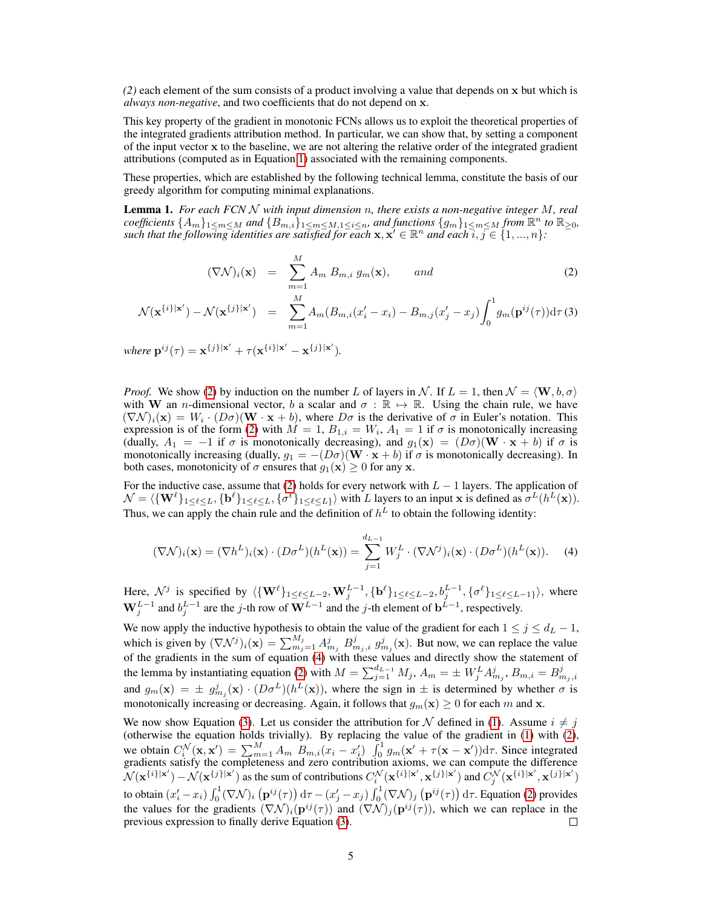*(2)* each element of the sum consists of a product involving a value that depends on x but which is *always non-negative*, and two coefficients that do not depend on x.

This key property of the gradient in monotonic FCNs allows us to exploit the theoretical properties of the integrated gradients attribution method. In particular, we can show that, by setting a component of the input vector x to the baseline, we are not altering the relative order of the integrated gradient attributions (computed as in Equation [1\)](#page-2-0) associated with the remaining components.

These properties, which are established by the following technical lemma, constitute the basis of our greedy algorithm for computing minimal explanations.

<span id="page-4-2"></span>Lemma 1. *For each FCN* N *with input dimension* n*, there exists a non-negative integer* M*, real*  $coefficients$   $\{A_m\}_{1\leq m\leq M}$  and  $\{B_{m,i}\}_{1\leq m\leq M,1\leq i\leq n}$ , and functions  $\{g_m\}_{1\leq m\leq M}$  from  $\mathbb{R}^n$  to  $\mathbb{R}_{\geq 0}$ , such that the following identities are satisfied for each  $x, x' \in \mathbb{R}^n$  and each  $i, j \in \{1, ..., n\}$ :

<span id="page-4-0"></span>
$$
(\nabla \mathcal{N})_i(\mathbf{x}) = \sum_{m=1}^M A_m B_{m,i} g_m(\mathbf{x}), \quad and \quad (2)
$$

$$
\mathcal{N}(\mathbf{x}^{\{i\}|\mathbf{x}')} - \mathcal{N}(\mathbf{x}^{\{j\}|\mathbf{x}')} = \sum_{m=1}^{M} A_m (B_{m,i}(x_i'-x_i) - B_{m,j}(x_j'-x_j)) \int_0^1 g_m(\mathbf{p}^{ij}(\tau)) d\tau
$$
 (3)

where  $\mathbf{p}^{ij}(\tau) = \mathbf{x}^{\{j\}|\mathbf{x}'} + \tau(\mathbf{x}^{\{i\}|\mathbf{x}'} - \mathbf{x}^{\{j\}|\mathbf{x}')}$ .

*Proof.* We show [\(2\)](#page-4-0) by induction on the number L of layers in N. If  $L = 1$ , then  $\mathcal{N} = \langle \mathbf{W}, b, \sigma \rangle$ with W an *n*-dimensional vector, b a scalar and  $\sigma : \mathbb{R} \mapsto \mathbb{R}$ . Using the chain rule, we have  $(\nabla \mathcal{N})_i(\mathbf{x}) = W_i \cdot (D\sigma)(\mathbf{W} \cdot \mathbf{x} + b)$ , where  $D\sigma$  is the derivative of  $\sigma$  in Euler's notation. This expression is of the form [\(2\)](#page-4-0) with  $M = 1$ ,  $B_{1,i} = W_i$ ,  $A_1 = 1$  if  $\sigma$  is monotonically increasing (dually,  $A_1 = -1$  if  $\sigma$  is monotonically decreasing), and  $g_1(\mathbf{x}) = (D\sigma)(\mathbf{W} \cdot \mathbf{x} + b)$  if  $\sigma$  is monotonically increasing (dually,  $g_1 = - (D\sigma)(\mathbf{W} \cdot \mathbf{x} + b)$  if  $\sigma$  is monotonically decreasing). In both cases, monotonicity of  $\sigma$  ensures that  $g_1(\mathbf{x}) \geq 0$  for any x.

For the inductive case, assume that [\(2\)](#page-4-0) holds for every network with  $L - 1$  layers. The application of  $\mathcal{N} = \langle \{ \mathbf{W}^{\ell} \}_{1 \leq \ell \leq L}, \{ \mathbf{b}^{\ell} \}_{1 \leq \ell \leq L}, \{ \sigma^{\ell} \}_{1 \leq \ell \leq L \}} \rangle$  with L layers to an input x is defined as  $\sigma^L(h^L(\mathbf{x}))$ . Thus, we can apply the chain rule and the definition of  $h<sup>L</sup>$  to obtain the following identity:

<span id="page-4-1"></span>
$$
(\nabla \mathcal{N})_i(\mathbf{x}) = (\nabla h^L)_i(\mathbf{x}) \cdot (D \sigma^L)(h^L(\mathbf{x})) = \sum_{j=1}^{d_{L-1}} W_j^L \cdot (\nabla \mathcal{N}^j)_i(\mathbf{x}) \cdot (D \sigma^L)(h^L(\mathbf{x})). \tag{4}
$$

Here,  $\mathcal{N}^j$  is specified by  $\langle \{ \mathbf{W}^\ell \}_{1 \leq \ell \leq L-2}, \mathbf{W}^{L-1}_j, \{ \mathbf{b}^\ell \}_{1 \leq \ell \leq L-2}, b_j^{L-1}, \{ \sigma^\ell \}_{1 \leq \ell \leq L-1 \}} \rangle$ , where  $\mathbf{W}_j^{L-1}$  and  $b_j^{L-1}$  are the j-th row of  $\mathbf{W}^{L-1}$  and the j-th element of  $\mathbf{b}^{L-1}$ , respectively.

We now apply the inductive hypothesis to obtain the value of the gradient for each  $1 \le j \le d_L - 1$ , which is given by  $(\nabla \mathcal{N}^j)_i(\mathbf{x}) = \sum_{m_j=1}^{M_j} A^j_{m_j} B^j_{m_j,i} g^j_{m_j}(\mathbf{x})$ . But now, we can replace the value of the gradients in the sum of equation [\(4\)](#page-4-1) with these values and directly show the statement of the lemma by instantiating equation [\(2\)](#page-4-0) with  $M = \sum_{j=1}^{d_{L-1}} M_j$ ,  $A_m = \pm W_j^L A_{m_j}^j$ ,  $B_{m,i} = B_{m_j,i}^j$ and  $g_m(\mathbf{x}) = \pm g_{m_j}^j(\mathbf{x}) \cdot (D \sigma^L) (h^L(\mathbf{x}))$ , where the sign in  $\pm$  is determined by whether  $\sigma$  is monotonically increasing or decreasing. Again, it follows that  $g_m(\mathbf{x}) \geq 0$  for each m and x.

We now show Equation [\(3\)](#page-4-0). Let us consider the attribution for N defined in [\(1\)](#page-2-0). Assume  $i \neq j$ (otherwise the equation holds trivially). By replacing the value of the gradient in [\(1\)](#page-2-0) with [\(2\)](#page-4-0), we obtain  $C_i^{\mathcal{N}}(\mathbf{x}, \mathbf{x}') = \sum_{m=1}^M A_m B_{m,i}(x_i - x'_i) \int_0^1 g_m(\mathbf{x}' + \tau(\mathbf{x} - \mathbf{x}')) d\tau$ . Since integrated gradients satisfy the completeness and zero contribution axioms, we can compute the difference  $\mathcal{N}(\mathbf{x}^{\{i\}|\mathbf{x}')} - \mathcal{N}(\mathbf{x}^{\{j\}|\mathbf{x}')}$  as the sum of contributions  $C_i^{\mathcal{N}}(\mathbf{x}^{\{i\}|\mathbf{x}'}, \mathbf{x}^{\{j\}|\mathbf{x}')}$  and  $\tilde{C}_j^{\mathcal{N}}(\mathbf{x}^{\{i\}|\mathbf{x}', \mathbf{x}^{\{j\}|\mathbf{x}')}$ to obtain  $(x_i'-x_i)\int_0^1(\nabla \mathcal{N})_i\left(\mathbf{p}^{ij}(\tau)\right)\mathrm{d}\tau - (x_j'-x_j)\int_0^1(\nabla \mathcal{N})_j\left(\mathbf{p}^{ij}(\tau)\right)\mathrm{d}\tau.$  Equation [\(2\)](#page-4-0) provides the values for the gradients  $(\nabla \mathcal{N})_i(\mathbf{p}^{ij}(\tau))$  and  $(\nabla \mathcal{N})_j(\mathbf{p}^{ij}(\tau))$ , which we can replace in the previous expression to finally derive Equation [\(3\)](#page-4-0). □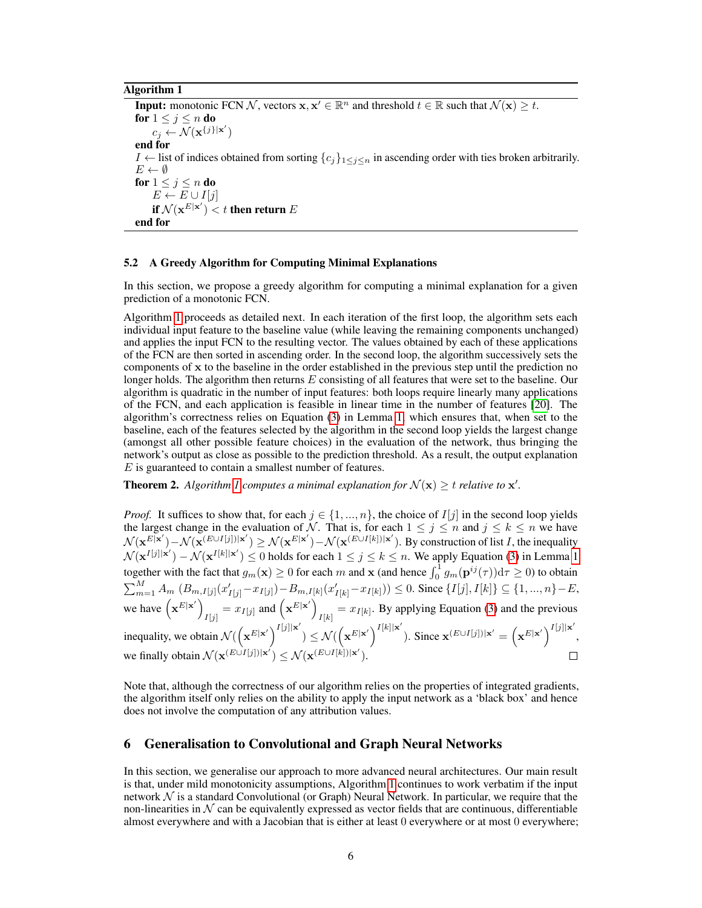#### Algorithm 1

<span id="page-5-0"></span>**Input:** monotonic FCN N, vectors  $x, x' \in \mathbb{R}^n$  and threshold  $t \in \mathbb{R}$  such that  $\mathcal{N}(x) \geq t$ . for  $1 \leq j \leq n$  do  $c_j \leftarrow \mathcal{N}(\mathbf{x}^{\{j\}|\mathbf{x}')}$ end for *I* ← list of indices obtained from sorting  ${c_j}_{1 \leq j \leq n}$  in ascending order with ties broken arbitrarily.  $E \leftarrow \emptyset$ for  $1 \leq j \leq n$  do  $E \leftarrow E \cup I[j]$ if  $\mathcal{N}(\mathbf{x}^{E|\mathbf{x}'}) < t$  then return  $E$ end for

#### 5.2 A Greedy Algorithm for Computing Minimal Explanations

In this section, we propose a greedy algorithm for computing a minimal explanation for a given prediction of a monotonic FCN.

Algorithm [1](#page-5-0) proceeds as detailed next. In each iteration of the first loop, the algorithm sets each individual input feature to the baseline value (while leaving the remaining components unchanged) and applies the input FCN to the resulting vector. The values obtained by each of these applications of the FCN are then sorted in ascending order. In the second loop, the algorithm successively sets the components of x to the baseline in the order established in the previous step until the prediction no longer holds. The algorithm then returns  $E$  consisting of all features that were set to the baseline. Our algorithm is quadratic in the number of input features: both loops require linearly many applications of the FCN, and each application is feasible in linear time in the number of features [\[20\]](#page-10-11). The algorithm's correctness relies on Equation [\(3\)](#page-4-0) in Lemma [1,](#page-4-2) which ensures that, when set to the baseline, each of the features selected by the algorithm in the second loop yields the largest change (amongst all other possible feature choices) in the evaluation of the network, thus bringing the network's output as close as possible to the prediction threshold. As a result, the output explanation E is guaranteed to contain a smallest number of features.

**Theorem 2.** Algorithm [1](#page-5-0) computes a minimal explanation for  $\mathcal{N}(\mathbf{x}) \geq t$  relative to  $\mathbf{x}'$ .

*Proof.* It suffices to show that, for each  $j \in \{1, ..., n\}$ , the choice of  $I[j]$  in the second loop yields the largest change in the evaluation of N. That is, for each  $1 \leq j \leq n$  and  $j \leq k \leq n$  we have  $\mathcal{N}(\mathbf{x}^{E[\mathbf{x}')} - \mathcal{N}(\mathbf{x}^{(E \cup I[j])|\mathbf{x}'}) \geq \mathcal{N}(\mathbf{x}^{E|\mathbf{x}'}) - \mathcal{N}(\mathbf{x}^{(E \cup I[k])|\mathbf{x}'}).$  By construction of list *I*, the inequality  $\mathcal{N}(\mathbf{x}^{I[j]|\mathbf{x}'}) - \mathcal{N}(\mathbf{x}^{I[k]|\mathbf{x}'}) \leq 0$  holds for each  $1 \leq j \leq k \leq n$ . We apply Equation [\(3\)](#page-4-0) in Lemma [1](#page-4-2) together with the fact that  $g_m(\mathbf{x}) \ge 0$  for each m and  $\mathbf{x}$  (and hence  $\int_0^1 g_m(\mathbf{p}^{ij}(\tau))\mathrm{d}\tau \ge 0$ ) to obtain  $\sum_{m=1}^{M} A_m (B_{m,I[j]}(x'_{I[j]}-x_{I[j]})-B_{m,I[k]}(x'_{I[k]}-x_{I[k]})) \leq 0$ . Since  $\{I[j], I[k]\} \subseteq \{1, ..., n\}-E$ , we have  $(\mathbf{x}^{E|\mathbf{x}'}\)_{x,y} = x_{I[j]}$  and  $(\mathbf{x}^{E|\mathbf{x}'}\)_{x,y} = x_{I[k]}$ . By applying Equation [\(3\)](#page-4-0) and the previous  $I[j]$   $\begin{array}{ccc} & -\omega & \\ & \sqrt{I[k]} \end{array}$ inequality, we obtain  $\mathcal{N}\left(\left(\mathbf{x}^{E|\mathbf{x}'}\right)^{I[j]|\mathbf{x}'}\right)$  $\mathcal{N}(\left(\mathbf{x}^{E|\mathbf{x}'}\right)^{I[k]|\mathbf{x}'}$ ). Since  $\mathbf{x}^{(E \cup I[j])|\mathbf{x}'} = (\mathbf{x}^{E|\mathbf{x}'})^{I[j]|\mathbf{x}'}$ , we finally obtain  $\mathcal{N}(\mathbf{x}^{(E \cup I[j])|\mathbf{x}'} ) \leq \mathcal{N}(\mathbf{x}^{(E \cup I[k])|\mathbf{x}'}).$ 

Note that, although the correctness of our algorithm relies on the properties of integrated gradients, the algorithm itself only relies on the ability to apply the input network as a 'black box' and hence does not involve the computation of any attribution values.

## 6 Generalisation to Convolutional and Graph Neural Networks

In this section, we generalise our approach to more advanced neural architectures. Our main result is that, under mild monotonicity assumptions, Algorithm [1](#page-5-0) continues to work verbatim if the input network  $\mathcal N$  is a standard Convolutional (or Graph) Neural Network. In particular, we require that the non-linearities in  $N$  can be equivalently expressed as vector fields that are continuous, differentiable almost everywhere and with a Jacobian that is either at least 0 everywhere or at most 0 everywhere;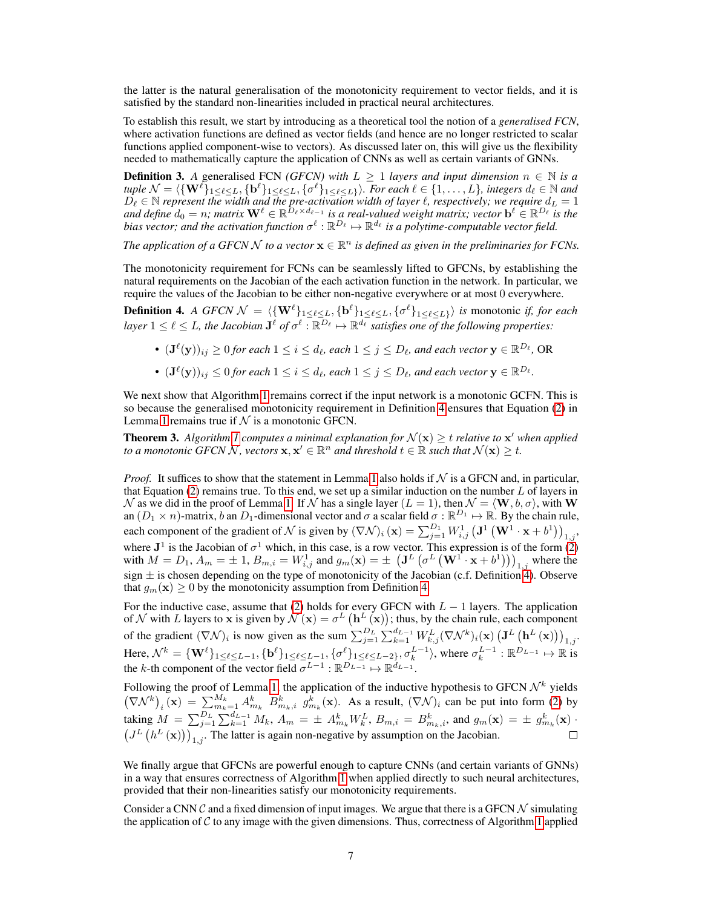the latter is the natural generalisation of the monotonicity requirement to vector fields, and it is satisfied by the standard non-linearities included in practical neural architectures.

To establish this result, we start by introducing as a theoretical tool the notion of a *generalised FCN*, where activation functions are defined as vector fields (and hence are no longer restricted to scalar functions applied component-wise to vectors). As discussed later on, this will give us the flexibility needed to mathematically capture the application of CNNs as well as certain variants of GNNs.

**Definition 3.** A generalised FCN *(GFCN)* with  $L \geq 1$  *layers and input dimension*  $n \in \mathbb{N}$  *is a*  $tuple N = \langle \{ {\bf W}^{\ell} \}_{1 \leq \ell \leq L}, \{ {\bf b}^{\ell} \}_{1 \leq \ell \leq L}, \{ {\sigma}^{\ell} \}_{1 \leq \ell \leq L \}} \rangle$ . For each  $\ell \in \{1, \ldots, L\}$ , integers  $d_{\ell} \in \mathbb{N}$  and  $D_\ell \in \mathbb{N}$  represent the width and the pre-activation width of layer  $\ell$ , respectively; we require  $d_L = 1$ and define  $d_0 = n$ ; matrix  $\mathbf{W}^\ell \in \mathbb{R}^{D_\ell \times d_{\ell-1}}$  is a real-valued weight matrix; vector  $\mathbf{b}^\ell \in \mathbb{R}^{D_\ell}$  is the bias vector; and the activation function  $\sigma^\ell: \mathbb{R}^{D_\ell} \mapsto \mathbb{R}^{d_\ell}$  is a polytime-computable vector field.

The application of a GFCN  $\mathcal{N}$  to a vector  $\mathbf{x} \in \mathbb{R}^n$  is defined as given in the preliminaries for FCNs.

The monotonicity requirement for FCNs can be seamlessly lifted to GFCNs, by establishing the natural requirements on the Jacobian of the each activation function in the network. In particular, we require the values of the Jacobian to be either non-negative everywhere or at most 0 everywhere.

<span id="page-6-0"></span>**Definition 4.** A GFCN  $\mathcal{N} = \langle \{ \mathbf{W}^{\ell} \}_{1 \leq \ell \leq L}, \{ \mathbf{b}^{\ell} \}_{1 \leq \ell \leq L}, \{ \sigma^{\ell} \}_{1 \leq \ell \leq L \} \rangle$  *is monotonic if, for each*  $l$ ayer  $1 \leq \ell \leq L$ , the Jacobian  $J^{\ell}$  of  $\sigma^{\ell} : \mathbb{R}^{\overline{D}_{\ell}} \mapsto \mathbb{R}^{d_{\ell}}$  satisfies one of the following properties:

- $(\mathbf{J}^{\ell}(\mathbf{y}))_{ij} \ge 0$  for each  $1 \le i \le d_{\ell}$ , each  $1 \le j \le D_{\ell}$ , and each vector  $\mathbf{y} \in \mathbb{R}^{D_{\ell}}$ , OR
- $(\mathbf{J}^{\ell}(\mathbf{y}))_{ij} \leq 0$  for each  $1 \leq i \leq d_{\ell}$ , each  $1 \leq j \leq D_{\ell}$ , and each vector  $\mathbf{y} \in \mathbb{R}^{D_{\ell}}$ .

We next show that Algorithm [1](#page-5-0) remains correct if the input network is a monotonic GCFN. This is so because the generalised monotonicity requirement in Definition [4](#page-6-0) ensures that Equation [\(2\)](#page-4-0) in Lemma [1](#page-4-2) remains true if  $N$  is a monotonic GFCN.

<span id="page-6-1"></span>**Theorem 3.** Algorithm [1](#page-5-0) computes a minimal explanation for  $\mathcal{N}(\mathbf{x}) \geq t$  relative to  $\mathbf{x}'$  when applied *to a monotonic*  $GFCN N$ , vectors  $x, x' \in \mathbb{R}^n$  and threshold  $t \in \mathbb{R}$  such that  $\mathcal{N}(x) \geq t$ .

*Proof.* It suffices to show that the statement in Lemma [1](#page-4-2) also holds if  $N$  is a GFCN and, in particular, that Equation  $(2)$  remains true. To this end, we set up a similar induction on the number L of layers in  $\mathcal N$  as we did in the proof of Lemma [1.](#page-4-2) If  $\mathcal N$  has a single layer  $(L = 1)$ , then  $\mathcal N = \langle \mathbf W, b, \sigma \rangle$ , with W an  $(D_1 \times n)$ -matrix, b an  $D_1$ -dimensional vector and  $\sigma$  a scalar field  $\sigma : \mathbb{R}^{D_1} \mapsto \mathbb{R}$ . By the chain rule, each component of the gradient of  $\mathcal N$  is given by  $(\nabla \mathcal N)_i({\bf x}) = \sum_{j=1}^{D_1} W_{i,j}^1 \left({\bf J}^1\left({\bf W}^1 \cdot {\bf x} + b^1\right)\right)_{1,j}$ where  $J^1$  is the Jacobian of  $\sigma^1$  which, in this case, is a row vector. This expression is of the form [\(2\)](#page-4-0) with  $M = D_1$ ,  $A_m = \pm 1$ ,  $B_{m,i} = W_{i,j}^1$  and  $g_m(\mathbf{x}) = \pm \left( \mathbf{J}^L \left( \sigma^L \left( \mathbf{W}^1 \cdot \mathbf{x} + b^1 \right) \right) \right)_{1,j}$  where the sign  $\pm$  is chosen depending on the type of monotonicity of the Jacobian (c.f. Definition [4\)](#page-6-0). Observe that  $g_m(\mathbf{x}) \geq 0$  by the monotonicity assumption from Definition [4.](#page-6-0)

For the inductive case, assume that [\(2\)](#page-4-0) holds for every GFCN with  $L - 1$  layers. The application of N with L layers to x is given by  $N(\mathbf{x}) = \sigma^L(\mathbf{h}^L(\mathbf{x}))$ ; thus, by the chain rule, each component of the gradient  $(\nabla \mathcal{N})_i$  is now given as the sum  $\sum_{j=1}^{D_L} \sum_{k=1}^{d_{L-1}} W_{k,j}^L (\nabla \mathcal{N}^k)_i(\mathbf{x}) \left(\mathbf{J}^L(\mathbf{h}^L(\mathbf{x}))\right)_{1,j}$ Here,  $\mathcal{N}^k = \{\mathbf{W}^{\ell}\}_{1 \leq \ell \leq L-1}, \{\mathbf{b}^{\ell}\}_{1 \leq \ell \leq L-1}, \{\sigma^{\ell}\}_{1 \leq \ell \leq L-2\}}, \sigma_k^{L-1} \rangle$ , where  $\sigma_k^{L-1} : \mathbb{R}^{D_{L-1}} \mapsto \mathbb{R}$  is the k-th component of the vector field  $\sigma^{L-1} : \mathbb{R}^{D_{L-1}} \mapsto \mathbb{R}^{d_{L-1}}$ .

Following the proof of Lemma [1,](#page-4-2) the application of the inductive hypothesis to GFCN  $\mathcal{N}^k$  yields  $(\nabla \mathcal{N}^k)_i(\mathbf{x}) = \sum_{m_k=1}^{M_k} A_{m_k}^k B_{m_k,i}^k g_{m_k}^k(\mathbf{x})$ . As a result,  $(\nabla \mathcal{N})_i$  can be put into form [\(2\)](#page-4-0) by taking  $M = \sum_{j=1}^{D_L} \sum_{k=1}^{d_{L-1}} M_k$ ,  $A_m = \pm A_{m_k}^k W_k^L$ ,  $B_{m,i} = B_{m_k,i}^k$ , and  $g_m(\mathbf{x}) = \pm g_{m_k}^k(\mathbf{x})$ .  $(J^L(h^L(\mathbf{x})))_{1,j}$ . The latter is again non-negative by assumption on the Jacobian.

We finally argue that GFCNs are powerful enough to capture CNNs (and certain variants of GNNs) in a way that ensures correctness of Algorithm [1](#page-5-0) when applied directly to such neural architectures, provided that their non-linearities satisfy our monotonicity requirements.

Consider a CNN  $\mathcal C$  and a fixed dimension of input images. We argue that there is a GFCN  $\mathcal N$  simulating the application of  $C$  to any image with the given dimensions. Thus, correctness of Algorithm [1](#page-5-0) applied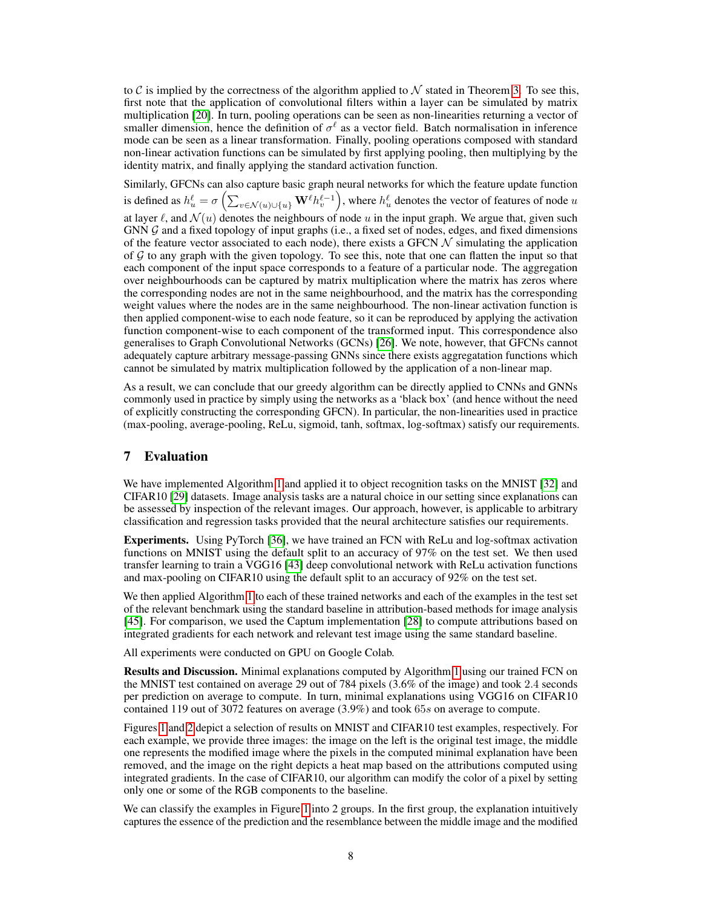to C is implied by the correctness of the algorithm applied to  $\mathcal N$  stated in Theorem [3.](#page-6-1) To see this, first note that the application of convolutional filters within a layer can be simulated by matrix multiplication [\[20\]](#page-10-11). In turn, pooling operations can be seen as non-linearities returning a vector of smaller dimension, hence the definition of  $\sigma^{\ell}$  as a vector field. Batch normalisation in inference mode can be seen as a linear transformation. Finally, pooling operations composed with standard non-linear activation functions can be simulated by first applying pooling, then multiplying by the identity matrix, and finally applying the standard activation function.

Similarly, GFCNs can also capture basic graph neural networks for which the feature update function is defined as  $h_u^{\ell} = \sigma\left(\sum_{v \in \mathcal{N}(u) \cup \{u\}} \mathbf{W}^{\ell} h_v^{\ell-1}\right)$ , where  $h_u^{\ell}$  denotes the vector of features of node  $u$ at layer  $\ell$ , and  $\mathcal{N}(u)$  denotes the neighbours of node u in the input graph. We argue that, given such GNN G and a fixed topology of input graphs (i.e., a fixed set of nodes, edges, and fixed dimensions of the feature vector associated to each node), there exists a GFCN  $\mathcal N$  simulating the application of  $G$  to any graph with the given topology. To see this, note that one can flatten the input so that each component of the input space corresponds to a feature of a particular node. The aggregation over neighbourhoods can be captured by matrix multiplication where the matrix has zeros where the corresponding nodes are not in the same neighbourhood, and the matrix has the corresponding weight values where the nodes are in the same neighbourhood. The non-linear activation function is then applied component-wise to each node feature, so it can be reproduced by applying the activation function component-wise to each component of the transformed input. This correspondence also generalises to Graph Convolutional Networks (GCNs) [\[26\]](#page-10-13). We note, however, that GFCNs cannot adequately capture arbitrary message-passing GNNs since there exists aggregatation functions which cannot be simulated by matrix multiplication followed by the application of a non-linear map.

As a result, we can conclude that our greedy algorithm can be directly applied to CNNs and GNNs commonly used in practice by simply using the networks as a 'black box' (and hence without the need of explicitly constructing the corresponding GFCN). In particular, the non-linearities used in practice (max-pooling, average-pooling, ReLu, sigmoid, tanh, softmax, log-softmax) satisfy our requirements.

# 7 Evaluation

We have implemented Algorithm [1](#page-5-0) and applied it to object recognition tasks on the MNIST [\[32\]](#page-10-18) and CIFAR10 [\[29\]](#page-10-19) datasets. Image analysis tasks are a natural choice in our setting since explanations can be assessed by inspection of the relevant images. Our approach, however, is applicable to arbitrary classification and regression tasks provided that the neural architecture satisfies our requirements.

Experiments. Using PyTorch [\[36\]](#page-10-20), we have trained an FCN with ReLu and log-softmax activation functions on MNIST using the default split to an accuracy of 97% on the test set. We then used transfer learning to train a VGG16 [\[43\]](#page-10-21) deep convolutional network with ReLu activation functions and max-pooling on CIFAR10 using the default split to an accuracy of 92% on the test set.

We then applied Algorithm [1](#page-5-0) to each of these trained networks and each of the examples in the test set of the relevant benchmark using the standard baseline in attribution-based methods for image analysis [\[45\]](#page-11-1). For comparison, we used the Captum implementation [\[28\]](#page-10-22) to compute attributions based on integrated gradients for each network and relevant test image using the same standard baseline.

All experiments were conducted on GPU on Google Colab.

Results and Discussion. Minimal explanations computed by Algorithm [1](#page-5-0) using our trained FCN on the MNIST test contained on average 29 out of 784 pixels (3.6% of the image) and took 2.4 seconds per prediction on average to compute. In turn, minimal explanations using VGG16 on CIFAR10 contained 119 out of 3072 features on average (3.9%) and took 65s on average to compute.

Figures [1](#page-8-0) and [2](#page-8-1) depict a selection of results on MNIST and CIFAR10 test examples, respectively. For each example, we provide three images: the image on the left is the original test image, the middle one represents the modified image where the pixels in the computed minimal explanation have been removed, and the image on the right depicts a heat map based on the attributions computed using integrated gradients. In the case of CIFAR10, our algorithm can modify the color of a pixel by setting only one or some of the RGB components to the baseline.

We can classify the examples in Figure [1](#page-8-0) into 2 groups. In the first group, the explanation intuitively captures the essence of the prediction and the resemblance between the middle image and the modified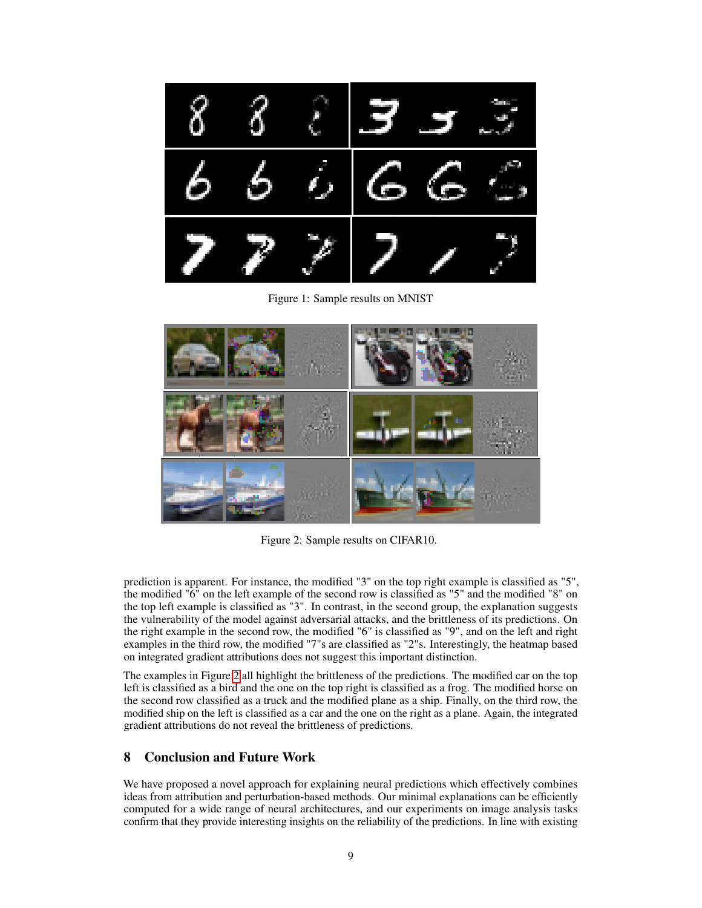

Figure 1: Sample results on MNIST

<span id="page-8-0"></span>

Figure 2: Sample results on CIFAR10.

<span id="page-8-1"></span>prediction is apparent. For instance, the modified "3" on the top right example is classified as "5", the modified "6" on the left example of the second row is classified as "5" and the modified "8" on the top left example is classified as "3". In contrast, in the second group, the explanation suggests the vulnerability of the model against adversarial attacks, and the brittleness of its predictions. On the right example in the second row, the modified "6" is classified as "9", and on the left and right examples in the third row, the modified "7"s are classified as "2"s. Interestingly, the heatmap based on integrated gradient attributions does not suggest this important distinction.

The examples in Figure [2](#page-8-1) all highlight the brittleness of the predictions. The modified car on the top left is classified as a bird and the one on the top right is classified as a frog. The modified horse on the second row classified as a truck and the modified plane as a ship. Finally, on the third row, the modified ship on the left is classified as a car and the one on the right as a plane. Again, the integrated gradient attributions do not reveal the brittleness of predictions.

# 8 Conclusion and Future Work

We have proposed a novel approach for explaining neural predictions which effectively combines ideas from attribution and perturbation-based methods. Our minimal explanations can be efficiently computed for a wide range of neural architectures, and our experiments on image analysis tasks confirm that they provide interesting insights on the reliability of the predictions. In line with existing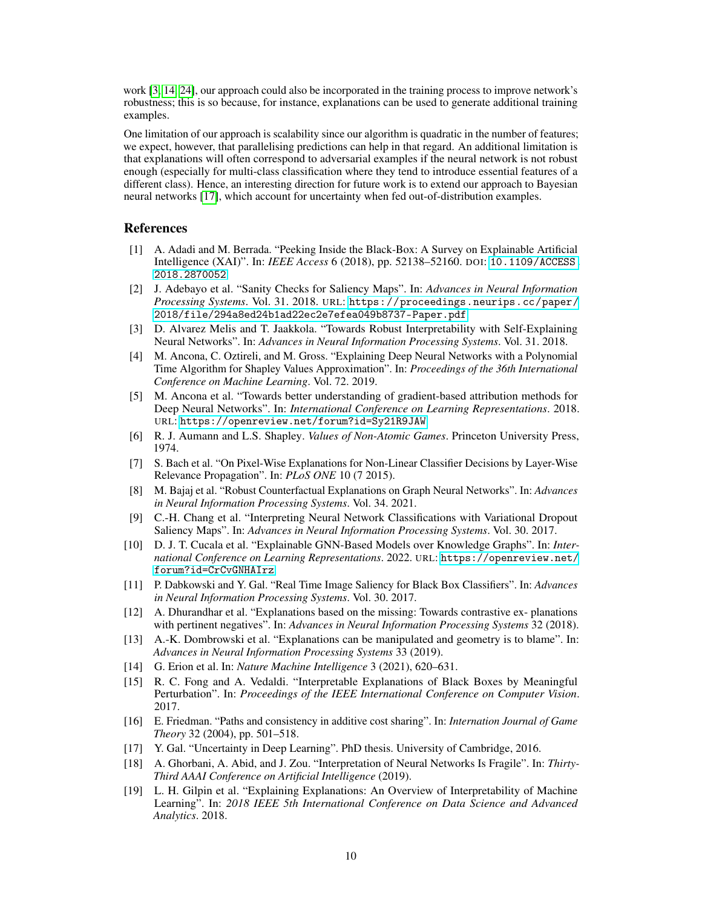work [\[3,](#page-9-16) [14,](#page-9-17) [24\]](#page-10-23), our approach could also be incorporated in the training process to improve network's robustness; this is so because, for instance, explanations can be used to generate additional training examples.

One limitation of our approach is scalability since our algorithm is quadratic in the number of features; we expect, however, that parallelising predictions can help in that regard. An additional limitation is that explanations will often correspond to adversarial examples if the neural network is not robust enough (especially for multi-class classification where they tend to introduce essential features of a different class). Hence, an interesting direction for future work is to extend our approach to Bayesian neural networks [\[17\]](#page-9-18), which account for uncertainty when fed out-of-distribution examples.

## References

- <span id="page-9-1"></span>[1] A. Adadi and M. Berrada. "Peeking Inside the Black-Box: A Survey on Explainable Artificial Intelligence (XAI)". In: *IEEE Access* 6 (2018), pp. 52138–52160. DOI: [10.1109/ACCESS.](https://doi.org/10.1109/ACCESS.2018.2870052) [2018.2870052](https://doi.org/10.1109/ACCESS.2018.2870052).
- <span id="page-9-11"></span>[2] J. Adebayo et al. "Sanity Checks for Saliency Maps". In: *Advances in Neural Information Processing Systems*. Vol. 31. 2018. URL: [https://proceedings.neurips.cc/paper/](https://proceedings.neurips.cc/paper/2018/file/294a8ed24b1ad22ec2e7efea049b8737-Paper.pdf) [2018/file/294a8ed24b1ad22ec2e7efea049b8737-Paper.pdf](https://proceedings.neurips.cc/paper/2018/file/294a8ed24b1ad22ec2e7efea049b8737-Paper.pdf).
- <span id="page-9-16"></span>[3] D. Alvarez Melis and T. Jaakkola. "Towards Robust Interpretability with Self-Explaining Neural Networks". In: *Advances in Neural Information Processing Systems*. Vol. 31. 2018.
- <span id="page-9-9"></span>[4] M. Ancona, C. Oztireli, and M. Gross. "Explaining Deep Neural Networks with a Polynomial Time Algorithm for Shapley Values Approximation". In: *Proceedings of the 36th International Conference on Machine Learning*. Vol. 72. 2019.
- <span id="page-9-4"></span>[5] M. Ancona et al. "Towards better understanding of gradient-based attribution methods for Deep Neural Networks". In: *International Conference on Learning Representations*. 2018. URL: <https://openreview.net/forum?id=Sy21R9JAW>.
- <span id="page-9-14"></span>[6] R. J. Aumann and L.S. Shapley. *Values of Non-Atomic Games*. Princeton University Press, 1974.
- <span id="page-9-10"></span>[7] S. Bach et al. "On Pixel-Wise Explanations for Non-Linear Classifier Decisions by Layer-Wise Relevance Propagation". In: *PLoS ONE* 10 (7 2015).
- <span id="page-9-5"></span>[8] M. Bajaj et al. "Robust Counterfactual Explanations on Graph Neural Networks". In: *Advances in Neural Information Processing Systems*. Vol. 34. 2021.
- <span id="page-9-13"></span>[9] C.-H. Chang et al. "Interpreting Neural Network Classifications with Variational Dropout Saliency Maps". In: *Advances in Neural Information Processing Systems*. Vol. 30. 2017.
- <span id="page-9-2"></span>[10] D. J. T. Cucala et al. "Explainable GNN-Based Models over Knowledge Graphs". In: *International Conference on Learning Representations*. 2022. URL: [https://openreview.net/](https://openreview.net/forum?id=CrCvGNHAIrz) [forum?id=CrCvGNHAIrz](https://openreview.net/forum?id=CrCvGNHAIrz).
- <span id="page-9-12"></span>[11] P. Dabkowski and Y. Gal. "Real Time Image Saliency for Black Box Classifiers". In: *Advances in Neural Information Processing Systems*. Vol. 30. 2017.
- <span id="page-9-3"></span>[12] A. Dhurandhar et al. "Explanations based on the missing: Towards contrastive ex- planations with pertinent negatives". In: *Advances in Neural Information Processing Systems* 32 (2018).
- <span id="page-9-7"></span>[13] A.-K. Dombrowski et al. "Explanations can be manipulated and geometry is to blame". In: *Advances in Neural Information Processing Systems* 33 (2019).
- <span id="page-9-17"></span>[14] G. Erion et al. In: *Nature Machine Intelligence* 3 (2021), 620–631.
- <span id="page-9-8"></span>[15] R. C. Fong and A. Vedaldi. "Interpretable Explanations of Black Boxes by Meaningful Perturbation". In: *Proceedings of the IEEE International Conference on Computer Vision*. 2017.
- <span id="page-9-15"></span>[16] E. Friedman. "Paths and consistency in additive cost sharing". In: *Internation Journal of Game Theory* 32 (2004), pp. 501–518.
- <span id="page-9-18"></span>[17] Y. Gal. "Uncertainty in Deep Learning". PhD thesis. University of Cambridge, 2016.
- <span id="page-9-6"></span>[18] A. Ghorbani, A. Abid, and J. Zou. "Interpretation of Neural Networks Is Fragile". In: *Thirty-Third AAAI Conference on Artificial Intelligence* (2019).
- <span id="page-9-0"></span>[19] L. H. Gilpin et al. "Explaining Explanations: An Overview of Interpretability of Machine Learning". In: *2018 IEEE 5th International Conference on Data Science and Advanced Analytics*. 2018.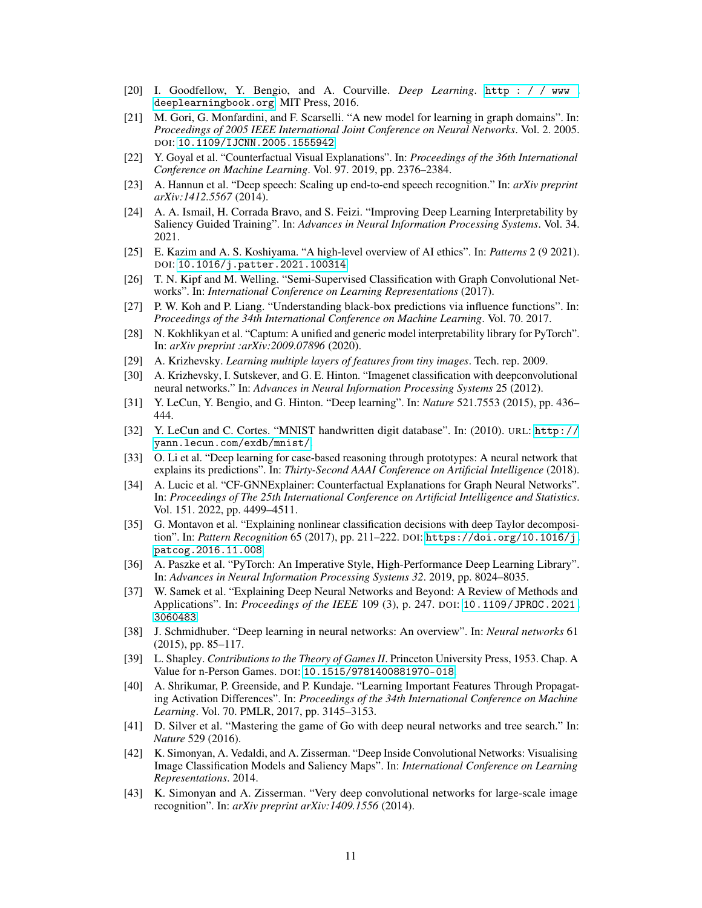- <span id="page-10-11"></span>[20] I. Goodfellow, Y. Bengio, and A. Courville. *Deep Learning*. [http : / / www .](http://www.deeplearningbook.org) [deeplearningbook.org](http://www.deeplearningbook.org). MIT Press, 2016.
- <span id="page-10-12"></span>[21] M. Gori, G. Monfardini, and F. Scarselli. "A new model for learning in graph domains". In: *Proceedings of 2005 IEEE International Joint Conference on Neural Networks*. Vol. 2. 2005. DOI: [10.1109/IJCNN.2005.1555942](https://doi.org/10.1109/IJCNN.2005.1555942).
- <span id="page-10-9"></span>[22] Y. Goyal et al. "Counterfactual Visual Explanations". In: *Proceedings of the 36th International Conference on Machine Learning*. Vol. 97. 2019, pp. 2376–2384.
- <span id="page-10-1"></span>[23] A. Hannun et al. "Deep speech: Scaling up end-to-end speech recognition." In: *arXiv preprint arXiv:1412.5567* (2014).
- <span id="page-10-23"></span>[24] A. A. Ismail, H. Corrada Bravo, and S. Feizi. "Improving Deep Learning Interpretability by Saliency Guided Training". In: *Advances in Neural Information Processing Systems*. Vol. 34. 2021.
- <span id="page-10-5"></span>[25] E. Kazim and A. S. Koshiyama. "A high-level overview of AI ethics". In: *Patterns* 2 (9 2021). DOI: [10.1016/j.patter.2021.100314](https://doi.org/10.1016/j.patter.2021.100314).
- <span id="page-10-13"></span>[26] T. N. Kipf and M. Welling. "Semi-Supervised Classification with Graph Convolutional Networks". In: *International Conference on Learning Representations* (2017).
- <span id="page-10-7"></span>[27] P. W. Koh and P. Liang. "Understanding black-box predictions via influence functions". In: *Proceedings of the 34th International Conference on Machine Learning*. Vol. 70. 2017.
- <span id="page-10-22"></span>[28] N. Kokhlikyan et al. "Captum: A unified and generic model interpretability library for PyTorch". In: *arXiv preprint :arXiv:2009.07896* (2020).
- <span id="page-10-19"></span>[29] A. Krizhevsky. *Learning multiple layers of features from tiny images*. Tech. rep. 2009.
- <span id="page-10-0"></span>[30] A. Krizhevsky, I. Sutskever, and G. E. Hinton. "Imagenet classification with deepconvolutional neural networks." In: *Advances in Neural Information Processing Systems* 25 (2012).
- <span id="page-10-2"></span>[31] Y. LeCun, Y. Bengio, and G. Hinton. "Deep learning". In: *Nature* 521.7553 (2015), pp. 436– 444.
- <span id="page-10-18"></span>[32] Y. LeCun and C. Cortes. "MNIST handwritten digit database". In: (2010). URL: [http://](http://yann.lecun.com/exdb/mnist/) [yann.lecun.com/exdb/mnist/](http://yann.lecun.com/exdb/mnist/).
- <span id="page-10-8"></span>[33] O. Li et al. "Deep learning for case-based reasoning through prototypes: A neural network that explains its predictions". In: *Thirty-Second AAAI Conference on Artificial Intelligence* (2018).
- <span id="page-10-10"></span>[34] A. Lucic et al. "CF-GNNExplainer: Counterfactual Explanations for Graph Neural Networks". In: *Proceedings of The 25th International Conference on Artificial Intelligence and Statistics*. Vol. 151. 2022, pp. 4499–4511.
- <span id="page-10-16"></span>[35] G. Montavon et al. "Explaining nonlinear classification decisions with deep Taylor decomposition". In: *Pattern Recognition* 65 (2017), pp. 211–222. DOI: [https://doi.org/10.1016/j.](https://doi.org/https://doi.org/10.1016/j.patcog.2016.11.008) [patcog.2016.11.008](https://doi.org/https://doi.org/10.1016/j.patcog.2016.11.008).
- <span id="page-10-20"></span>[36] A. Paszke et al. "PyTorch: An Imperative Style, High-Performance Deep Learning Library". In: *Advances in Neural Information Processing Systems 32*. 2019, pp. 8024–8035.
- <span id="page-10-6"></span>[37] W. Samek et al. "Explaining Deep Neural Networks and Beyond: A Review of Methods and Applications". In: *Proceedings of the IEEE* 109 (3), p. 247. DOI: [10.1109/JPROC.2021.](https://doi.org/10.1109/JPROC.2021.3060483) [3060483](https://doi.org/10.1109/JPROC.2021.3060483).
- <span id="page-10-3"></span>[38] J. Schmidhuber. "Deep learning in neural networks: An overview". In: *Neural networks* 61 (2015), pp. 85–117.
- <span id="page-10-14"></span>[39] L. Shapley. *Contributions to the Theory of Games II*. Princeton University Press, 1953. Chap. A Value for n-Person Games. DOI: [10.1515/9781400881970-018](https://doi.org/10.1515/9781400881970-018).
- <span id="page-10-15"></span>[40] A. Shrikumar, P. Greenside, and P. Kundaje. "Learning Important Features Through Propagating Activation Differences". In: *Proceedings of the 34th International Conference on Machine Learning*. Vol. 70. PMLR, 2017, pp. 3145–3153.
- <span id="page-10-4"></span>[41] D. Silver et al. "Mastering the game of Go with deep neural networks and tree search." In: *Nature* 529 (2016).
- <span id="page-10-17"></span>[42] K. Simonyan, A. Vedaldi, and A. Zisserman. "Deep Inside Convolutional Networks: Visualising Image Classification Models and Saliency Maps". In: *International Conference on Learning Representations*. 2014.
- <span id="page-10-21"></span>[43] K. Simonyan and A. Zisserman. "Very deep convolutional networks for large-scale image recognition". In: *arXiv preprint arXiv:1409.1556* (2014).